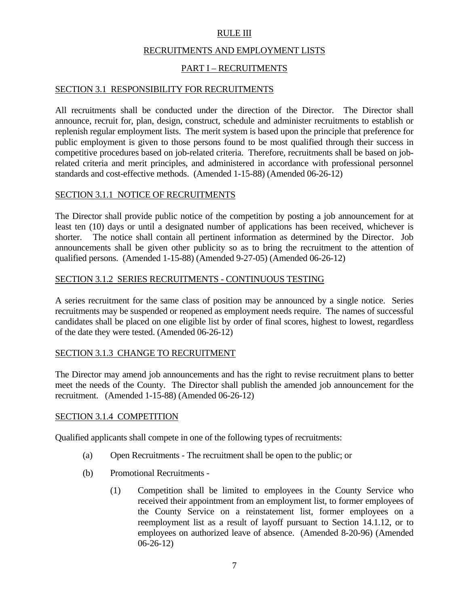### RULE III

#### RECRUITMENTS AND EMPLOYMENT LISTS

### PART I – RECRUITMENTS

#### SECTION 3.1 RESPONSIBILITY FOR RECRUITMENTS

All recruitments shall be conducted under the direction of the Director. The Director shall announce, recruit for, plan, design, construct, schedule and administer recruitments to establish or replenish regular employment lists. The merit system is based upon the principle that preference for public employment is given to those persons found to be most qualified through their success in competitive procedures based on job-related criteria. Therefore, recruitments shall be based on jobrelated criteria and merit principles, and administered in accordance with professional personnel standards and cost-effective methods. (Amended 1-15-88) (Amended 06-26-12)

#### SECTION 3.1.1 NOTICE OF RECRUITMENTS

The Director shall provide public notice of the competition by posting a job announcement for at least ten (10) days or until a designated number of applications has been received, whichever is shorter. The notice shall contain all pertinent information as determined by the Director. Job announcements shall be given other publicity so as to bring the recruitment to the attention of qualified persons. (Amended 1-15-88) (Amended 9-27-05) (Amended 06-26-12)

#### SECTION 3.1.2 SERIES RECRUITMENTS - CONTINUOUS TESTING

A series recruitment for the same class of position may be announced by a single notice. Series recruitments may be suspended or reopened as employment needs require. The names of successful candidates shall be placed on one eligible list by order of final scores, highest to lowest, regardless of the date they were tested. (Amended 06-26-12)

### SECTION 3.1.3 CHANGE TO RECRUITMENT

The Director may amend job announcements and has the right to revise recruitment plans to better meet the needs of the County. The Director shall publish the amended job announcement for the recruitment. (Amended 1-15-88) (Amended 06-26-12)

#### SECTION 3.1.4 COMPETITION

Qualified applicants shall compete in one of the following types of recruitments:

- (a) Open Recruitments The recruitment shall be open to the public; or
- (b) Promotional Recruitments
	- (1) Competition shall be limited to employees in the County Service who received their appointment from an employment list, to former employees of the County Service on a reinstatement list, former employees on a reemployment list as a result of layoff pursuant to Section 14.1.12, or to employees on authorized leave of absence. (Amended 8-20-96) (Amended 06-26-12)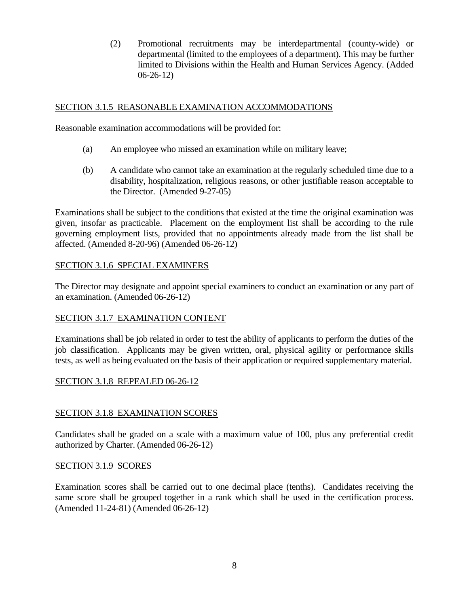(2) Promotional recruitments may be interdepartmental (county-wide) or departmental (limited to the employees of a department). This may be further limited to Divisions within the Health and Human Services Agency. (Added 06-26-12)

# SECTION 3.1.5 REASONABLE EXAMINATION ACCOMMODATIONS

Reasonable examination accommodations will be provided for:

- (a) An employee who missed an examination while on military leave;
- (b) A candidate who cannot take an examination at the regularly scheduled time due to a disability, hospitalization, religious reasons, or other justifiable reason acceptable to the Director. (Amended 9-27-05)

Examinations shall be subject to the conditions that existed at the time the original examination was given, insofar as practicable. Placement on the employment list shall be according to the rule governing employment lists, provided that no appointments already made from the list shall be affected. (Amended 8-20-96) (Amended 06-26-12)

### SECTION 3.1.6 SPECIAL EXAMINERS

The Director may designate and appoint special examiners to conduct an examination or any part of an examination. (Amended 06-26-12)

# SECTION 3.1.7 EXAMINATION CONTENT

Examinations shall be job related in order to test the ability of applicants to perform the duties of the job classification. Applicants may be given written, oral, physical agility or performance skills tests, as well as being evaluated on the basis of their application or required supplementary material.

### SECTION 3.1.8 REPEALED 06-26-12

# SECTION 3.1.8 EXAMINATION SCORES

Candidates shall be graded on a scale with a maximum value of 100, plus any preferential credit authorized by Charter. (Amended 06-26-12)

### SECTION 3.1.9 SCORES

Examination scores shall be carried out to one decimal place (tenths). Candidates receiving the same score shall be grouped together in a rank which shall be used in the certification process. (Amended 11-24-81) (Amended 06-26-12)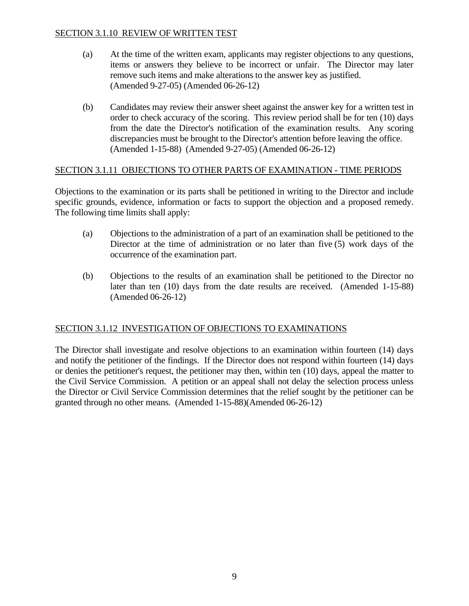## SECTION 3.1.10 REVIEW OF WRITTEN TEST

- (a) At the time of the written exam, applicants may register objections to any questions, items or answers they believe to be incorrect or unfair. The Director may later remove such items and make alterations to the answer key as justified. (Amended 9-27-05) (Amended 06-26-12)
- (b) Candidates may review their answer sheet against the answer key for a written test in order to check accuracy of the scoring. This review period shall be for ten (10) days from the date the Director's notification of the examination results. Any scoring discrepancies must be brought to the Director's attention before leaving the office. (Amended 1-15-88) (Amended 9-27-05) (Amended 06-26-12)

### SECTION 3.1.11 OBJECTIONS TO OTHER PARTS OF EXAMINATION - TIME PERIODS

Objections to the examination or its parts shall be petitioned in writing to the Director and include specific grounds, evidence, information or facts to support the objection and a proposed remedy. The following time limits shall apply:

- (a) Objections to the administration of a part of an examination shall be petitioned to the Director at the time of administration or no later than five (5) work days of the occurrence of the examination part.
- (b) Objections to the results of an examination shall be petitioned to the Director no later than ten (10) days from the date results are received. (Amended 1-15-88) (Amended 06-26-12)

### SECTION 3.1.12 INVESTIGATION OF OBJECTIONS TO EXAMINATIONS

The Director shall investigate and resolve objections to an examination within fourteen (14) days and notify the petitioner of the findings. If the Director does not respond within fourteen (14) days or denies the petitioner's request, the petitioner may then, within ten (10) days, appeal the matter to the Civil Service Commission. A petition or an appeal shall not delay the selection process unless the Director or Civil Service Commission determines that the relief sought by the petitioner can be granted through no other means. (Amended 1-15-88)(Amended 06-26-12)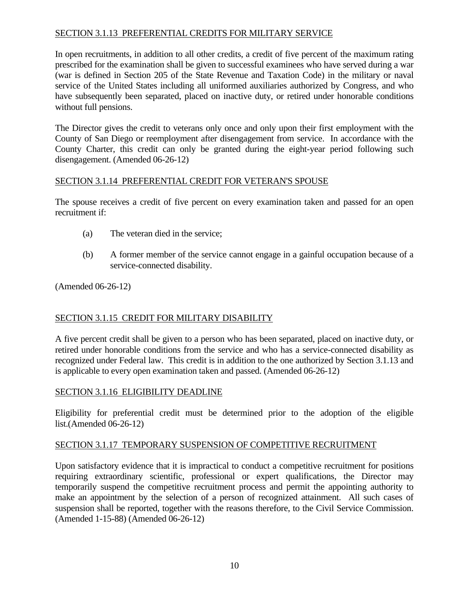# SECTION 3.1.13 PREFERENTIAL CREDITS FOR MILITARY SERVICE

In open recruitments, in addition to all other credits, a credit of five percent of the maximum rating prescribed for the examination shall be given to successful examinees who have served during a war (war is defined in Section 205 of the State Revenue and Taxation Code) in the military or naval service of the United States including all uniformed auxiliaries authorized by Congress, and who have subsequently been separated, placed on inactive duty, or retired under honorable conditions without full pensions.

The Director gives the credit to veterans only once and only upon their first employment with the County of San Diego or reemployment after disengagement from service. In accordance with the County Charter, this credit can only be granted during the eight-year period following such disengagement. (Amended 06-26-12)

### SECTION 3.1.14 PREFERENTIAL CREDIT FOR VETERAN'S SPOUSE

The spouse receives a credit of five percent on every examination taken and passed for an open recruitment if:

- (a) The veteran died in the service;
- (b) A former member of the service cannot engage in a gainful occupation because of a service-connected disability.

(Amended 06-26-12)

# SECTION 3.1.15 CREDIT FOR MILITARY DISABILITY

A five percent credit shall be given to a person who has been separated, placed on inactive duty, or retired under honorable conditions from the service and who has a service-connected disability as recognized under Federal law. This credit is in addition to the one authorized by Section 3.1.13 and is applicable to every open examination taken and passed. (Amended 06-26-12)

# SECTION 3.1.16 ELIGIBILITY DEADLINE

Eligibility for preferential credit must be determined prior to the adoption of the eligible list.(Amended 06-26-12)

# SECTION 3.1.17 TEMPORARY SUSPENSION OF COMPETITIVE RECRUITMENT

Upon satisfactory evidence that it is impractical to conduct a competitive recruitment for positions requiring extraordinary scientific, professional or expert qualifications, the Director may temporarily suspend the competitive recruitment process and permit the appointing authority to make an appointment by the selection of a person of recognized attainment. All such cases of suspension shall be reported, together with the reasons therefore, to the Civil Service Commission. (Amended 1-15-88) (Amended 06-26-12)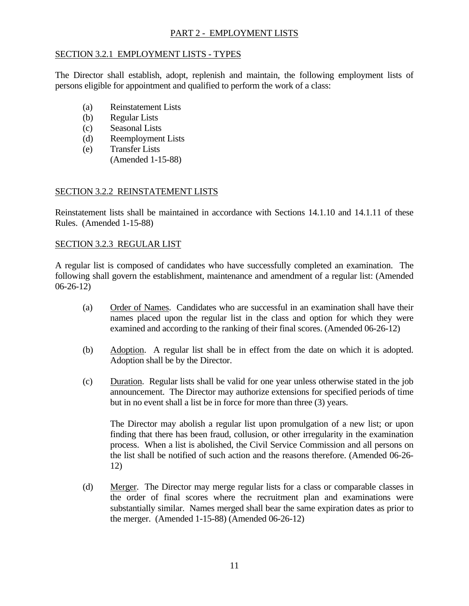## PART 2 - EMPLOYMENT LISTS

### SECTION 3.2.1 EMPLOYMENT LISTS - TYPES

The Director shall establish, adopt, replenish and maintain, the following employment lists of persons eligible for appointment and qualified to perform the work of a class:

- (a) Reinstatement Lists
- (b) Regular Lists
- (c) Seasonal Lists
- (d) Reemployment Lists
- (e) Transfer Lists
	- (Amended 1-15-88)

### SECTION 3.2.2 REINSTATEMENT LISTS

Reinstatement lists shall be maintained in accordance with Sections 14.1.10 and 14.1.11 of these Rules. (Amended 1-15-88)

### SECTION 3.2.3 REGULAR LIST

A regular list is composed of candidates who have successfully completed an examination. The following shall govern the establishment, maintenance and amendment of a regular list: (Amended 06-26-12)

- (a) Order of Names. Candidates who are successful in an examination shall have their names placed upon the regular list in the class and option for which they were examined and according to the ranking of their final scores. (Amended 06-26-12)
- (b) Adoption. A regular list shall be in effect from the date on which it is adopted. Adoption shall be by the Director.
- (c) Duration. Regular lists shall be valid for one year unless otherwise stated in the job announcement. The Director may authorize extensions for specified periods of time but in no event shall a list be in force for more than three (3) years.

 The Director may abolish a regular list upon promulgation of a new list; or upon finding that there has been fraud, collusion, or other irregularity in the examination process. When a list is abolished, the Civil Service Commission and all persons on the list shall be notified of such action and the reasons therefore. (Amended 06-26- 12)

 (d) Merger. The Director may merge regular lists for a class or comparable classes in the order of final scores where the recruitment plan and examinations were substantially similar. Names merged shall bear the same expiration dates as prior to the merger. (Amended 1-15-88) (Amended 06-26-12)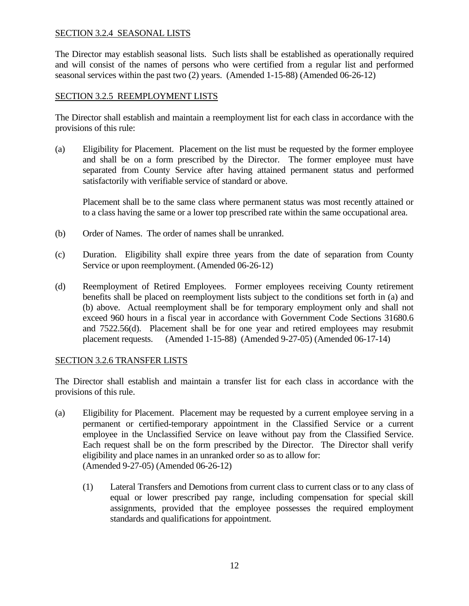### SECTION 3.2.4 SEASONAL LISTS

The Director may establish seasonal lists. Such lists shall be established as operationally required and will consist of the names of persons who were certified from a regular list and performed seasonal services within the past two (2) years. (Amended 1-15-88) (Amended 06-26-12)

### SECTION 3.2.5 REEMPLOYMENT LISTS

The Director shall establish and maintain a reemployment list for each class in accordance with the provisions of this rule:

(a) Eligibility for Placement. Placement on the list must be requested by the former employee and shall be on a form prescribed by the Director. The former employee must have separated from County Service after having attained permanent status and performed satisfactorily with verifiable service of standard or above.

 Placement shall be to the same class where permanent status was most recently attained or to a class having the same or a lower top prescribed rate within the same occupational area.

- (b) Order of Names. The order of names shall be unranked.
- (c) Duration. Eligibility shall expire three years from the date of separation from County Service or upon reemployment. (Amended 06-26-12)
- (d) Reemployment of Retired Employees. Former employees receiving County retirement benefits shall be placed on reemployment lists subject to the conditions set forth in (a) and (b) above. Actual reemployment shall be for temporary employment only and shall not exceed 960 hours in a fiscal year in accordance with Government Code Sections 31680.6 and 7522.56(d). Placement shall be for one year and retired employees may resubmit placement requests. (Amended 1-15-88) (Amended 9-27-05) (Amended 06-17-14)

### SECTION 3.2.6 TRANSFER LISTS

The Director shall establish and maintain a transfer list for each class in accordance with the provisions of this rule.

- (a) Eligibility for Placement. Placement may be requested by a current employee serving in a permanent or certified-temporary appointment in the Classified Service or a current employee in the Unclassified Service on leave without pay from the Classified Service. Each request shall be on the form prescribed by the Director. The Director shall verify eligibility and place names in an unranked order so as to allow for: (Amended 9-27-05) (Amended 06-26-12)
	- (1) Lateral Transfers and Demotions from current class to current class or to any class of equal or lower prescribed pay range, including compensation for special skill assignments, provided that the employee possesses the required employment standards and qualifications for appointment.